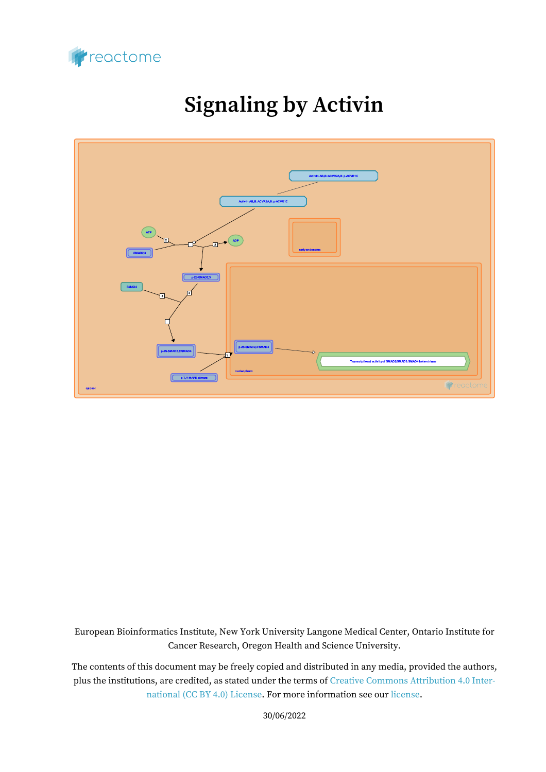

# **Signaling by Activin**



European Bioinformatics Institute, New York University Langone Medical Center, Ontario Institute for Cancer Research, Oregon Health and Science University.

The contents of this document may be freely copied and distributed in any media, provided the authors, plus the institutions, are credited, as stated under the terms of [Creative Commons Attribution 4.0 Inter](https://creativecommons.org/licenses/by/4.0/)[national \(CC BY 4.0\) License](https://creativecommons.org/licenses/by/4.0/). For more information see our [license](https://reactome.org/license).

30/06/2022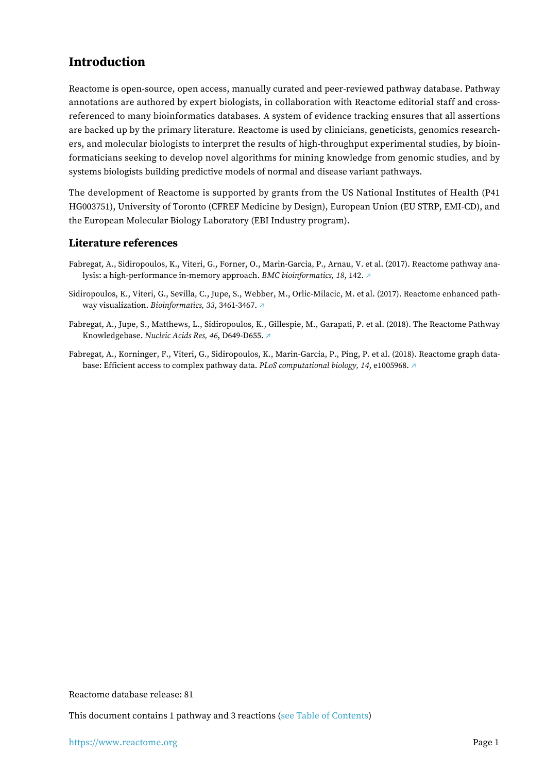### <span id="page-1-0"></span>**Introduction**

Reactome is open-source, open access, manually curated and peer-reviewed pathway database. Pathway annotations are authored by expert biologists, in collaboration with Reactome editorial staff and crossreferenced to many bioinformatics databases. A system of evidence tracking ensures that all assertions are backed up by the primary literature. Reactome is used by clinicians, geneticists, genomics researchers, and molecular biologists to interpret the results of high-throughput experimental studies, by bioinformaticians seeking to develop novel algorithms for mining knowledge from genomic studies, and by systems biologists building predictive models of normal and disease variant pathways.

The development of Reactome is supported by grants from the US National Institutes of Health (P41 HG003751), University of Toronto (CFREF Medicine by Design), European Union (EU STRP, EMI-CD), and the European Molecular Biology Laboratory (EBI Industry program).

#### **Literature references**

- Fabregat, A., Sidiropoulos, K., Viteri, G., Forner, O., Marin-Garcia, P., Arnau, V. et al. (2017). Reactome pathway analysis: a high-performance in-memory approach. *BMC bioinformatics, 18*, 142. [↗](http://www.ncbi.nlm.nih.gov/pubmed/28249561)
- Sidiropoulos, K., Viteri, G., Sevilla, C., Jupe, S., Webber, M., Orlic-Milacic, M. et al. (2017). Reactome enhanced pathway visualization. *Bioinformatics, 33*, 3461-3467. [↗](http://www.ncbi.nlm.nih.gov/pubmed/29077811)
- Fabregat, A., Jupe, S., Matthews, L., Sidiropoulos, K., Gillespie, M., Garapati, P. et al. (2018). The Reactome Pathway Knowledgebase. *Nucleic Acids Res, 46*, D649-D655. [↗](http://www.ncbi.nlm.nih.gov/pubmed/29145629)
- Fabregat, A., Korninger, F., Viteri, G., Sidiropoulos, K., Marin-Garcia, P., Ping, P. et al. (2018). Reactome graph database: Efficient access to complex pathway data. *PLoS computational biology, 14*, e1005968. [↗](http://www.ncbi.nlm.nih.gov/pubmed/29377902)

Reactome database release: 81

This document contains 1 pathway and 3 reactions [\(see Table of Contents\)](#page-6-0)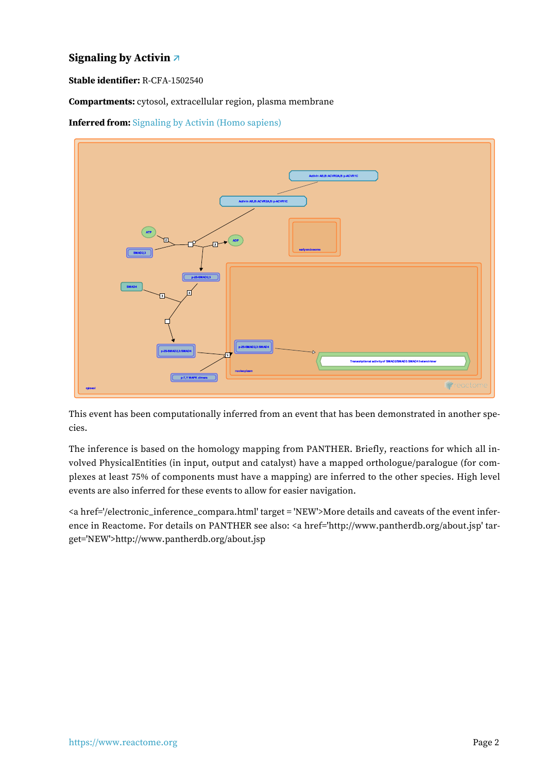#### <span id="page-2-0"></span>**Signaling by Activin [↗](https://www.reactome.org/content/detail/R-CFA-1502540)**

**Stable identifier:** R-CFA-1502540

**Compartments:** cytosol, extracellular region, plasma membrane

**Inferred from:** [Signaling by Activin \(Homo sapiens\)](https://www.reactome.org/content/detail/R-HSA-1502540)



This event has been computationally inferred from an event that has been demonstrated in another species.

The inference is based on the homology mapping from PANTHER. Briefly, reactions for which all involved PhysicalEntities (in input, output and catalyst) have a mapped orthologue/paralogue (for complexes at least 75% of components must have a mapping) are inferred to the other species. High level events are also inferred for these events to allow for easier navigation.

<a href='/electronic\_inference\_compara.html' target = 'NEW'>More details and caveats of the event inference in Reactome. For details on PANTHER see also: <a href='http://www.pantherdb.org/about.jsp' target='NEW'>http://www.pantherdb.org/about.jsp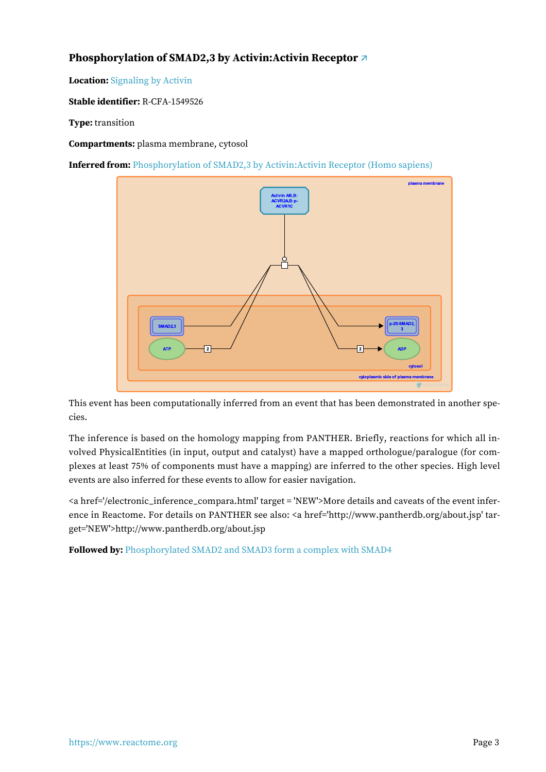#### <span id="page-3-0"></span>**Phosphorylation of SMAD2,3 by Activin:Activin Receptor [↗](https://www.reactome.org/content/detail/R-CFA-1549526)**

**Location:** [Signaling by Activin](#page-2-0)

**Stable identifier:** R-CFA-1549526

#### **Type:** transition

**Compartments:** plasma membrane, cytosol

**Inferred from:** [Phosphorylation of SMAD2,3 by Activin:Activin Receptor \(Homo sapiens\)](https://www.reactome.org/content/detail/R-HSA-1549526)



This event has been computationally inferred from an event that has been demonstrated in another species.

The inference is based on the homology mapping from PANTHER. Briefly, reactions for which all involved PhysicalEntities (in input, output and catalyst) have a mapped orthologue/paralogue (for complexes at least 75% of components must have a mapping) are inferred to the other species. High level events are also inferred for these events to allow for easier navigation.

<a href='/electronic\_inference\_compara.html' target = 'NEW'>More details and caveats of the event inference in Reactome. For details on PANTHER see also: <a href='http://www.pantherdb.org/about.jsp' target='NEW'>http://www.pantherdb.org/about.jsp

**Followed by:** [Phosphorylated SMAD2 and SMAD3 form a complex with SMAD4](#page-4-0)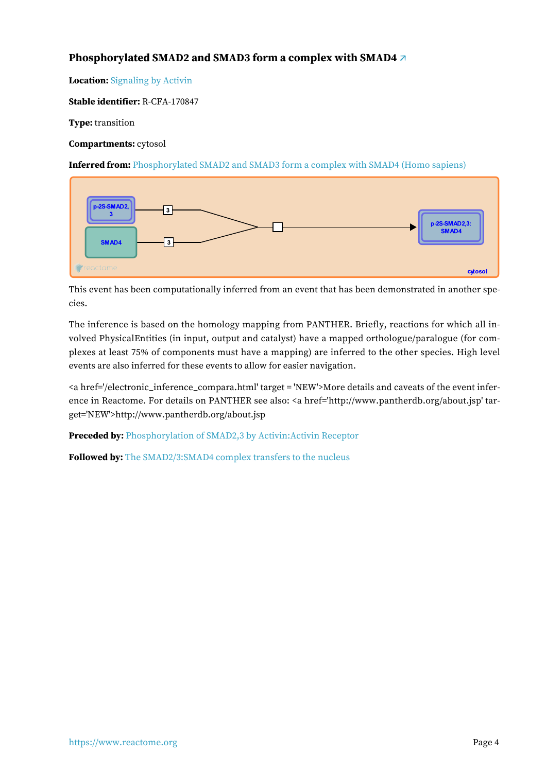#### <span id="page-4-0"></span>**Phosphorylated SMAD2 and SMAD3 form a complex with SMAD4 [↗](https://www.reactome.org/content/detail/R-CFA-170847)**

**Location:** [Signaling by Activin](#page-2-0)

**Stable identifier:** R-CFA-170847

**Type:** transition

**Compartments:** cytosol

**Inferred from:** [Phosphorylated SMAD2 and SMAD3 form a complex with SMAD4 \(Homo sapiens\)](https://www.reactome.org/content/detail/R-HSA-170847)



This event has been computationally inferred from an event that has been demonstrated in another species.

The inference is based on the homology mapping from PANTHER. Briefly, reactions for which all involved PhysicalEntities (in input, output and catalyst) have a mapped orthologue/paralogue (for complexes at least 75% of components must have a mapping) are inferred to the other species. High level events are also inferred for these events to allow for easier navigation.

<a href='/electronic\_inference\_compara.html' target = 'NEW'>More details and caveats of the event inference in Reactome. For details on PANTHER see also: <a href='http://www.pantherdb.org/about.jsp' target='NEW'>http://www.pantherdb.org/about.jsp

**Preceded by:** [Phosphorylation of SMAD2,3 by Activin:Activin Receptor](#page-3-0)

**Followed by:** [The SMAD2/3:SMAD4 complex transfers to the nucleus](#page-5-0)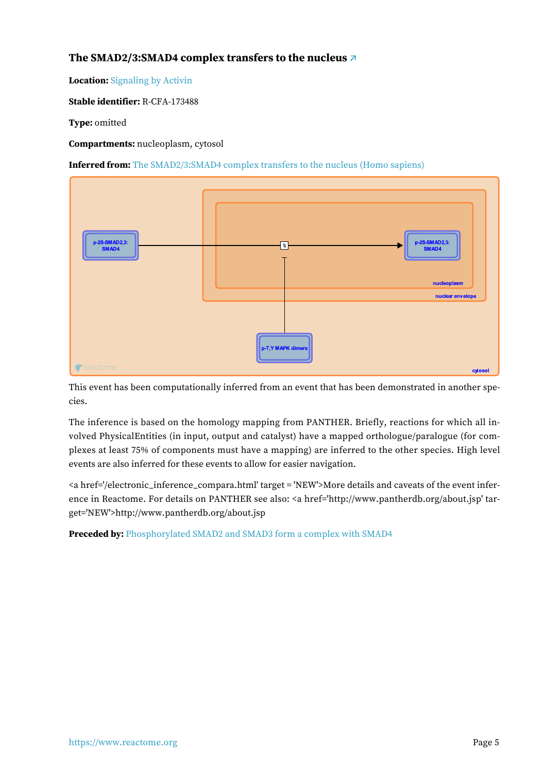#### <span id="page-5-0"></span>**The SMAD2/3:SMAD4 complex transfers to the nucleus [↗](https://www.reactome.org/content/detail/R-CFA-173488)**

**Location:** [Signaling by Activin](#page-2-0)

**Stable identifier:** R-CFA-173488

**Type:** omitted

**Compartments:** nucleoplasm, cytosol

**Inferred from:** [The SMAD2/3:SMAD4 complex transfers to the nucleus \(Homo sapiens\)](https://www.reactome.org/content/detail/R-HSA-173488)



This event has been computationally inferred from an event that has been demonstrated in another species.

The inference is based on the homology mapping from PANTHER. Briefly, reactions for which all involved PhysicalEntities (in input, output and catalyst) have a mapped orthologue/paralogue (for complexes at least 75% of components must have a mapping) are inferred to the other species. High level events are also inferred for these events to allow for easier navigation.

<a href='/electronic\_inference\_compara.html' target = 'NEW'>More details and caveats of the event inference in Reactome. For details on PANTHER see also: <a href='http://www.pantherdb.org/about.jsp' target='NEW'>http://www.pantherdb.org/about.jsp

**Preceded by:** [Phosphorylated SMAD2 and SMAD3 form a complex with SMAD4](#page-4-0)